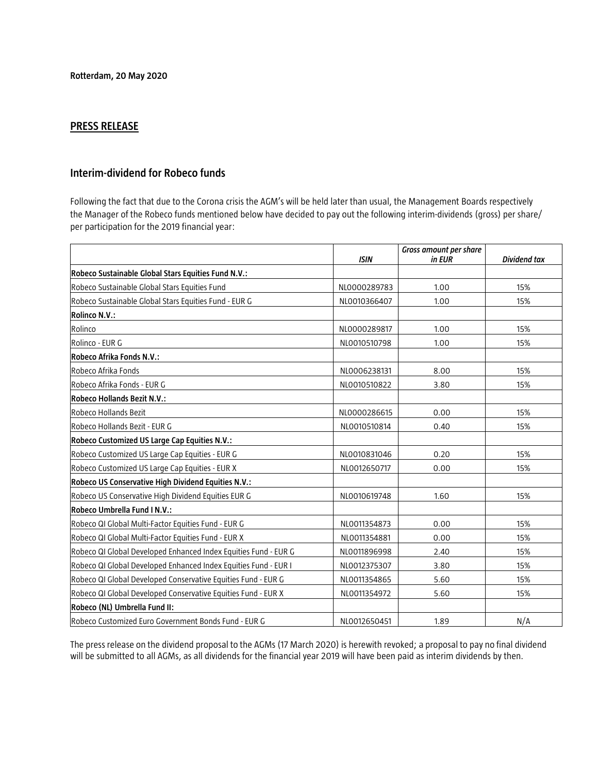## **PRESS RELEASE**

## **Interim-dividend for Robeco funds**

Following the fact that due to the Corona crisis the AGM's will be held later than usual, the Management Boards respectively the Manager of the Robeco funds mentioned below have decided to pay out the following interim-dividends (gross) per share/ per participation for the 2019 financial year:

|                                                                 | <b>ISIN</b>  | Gross amount per share<br>in EUR | <b>Dividend tax</b> |
|-----------------------------------------------------------------|--------------|----------------------------------|---------------------|
| Robeco Sustainable Global Stars Equities Fund N.V.:             |              |                                  |                     |
| Robeco Sustainable Global Stars Equities Fund                   | NL0000289783 | 1.00                             | 15%                 |
| Robeco Sustainable Global Stars Equities Fund - EUR G           | NL0010366407 | 1.00                             | 15%                 |
| Rolinco N.V.:                                                   |              |                                  |                     |
| Rolinco                                                         | NL0000289817 | 1.00                             | 15%                 |
| Rolinco - EUR G                                                 | NL0010510798 | 1.00                             | 15%                 |
| <b>Robeco Afrika Fonds N.V.:</b>                                |              |                                  |                     |
| Robeco Afrika Fonds                                             | NL0006238131 | 8.00                             | 15%                 |
| Robeco Afrika Fonds - EUR G                                     | NL0010510822 | 3.80                             | 15%                 |
| Robeco Hollands Bezit N.V.:                                     |              |                                  |                     |
| Robeco Hollands Bezit                                           | NL0000286615 | 0.00                             | 15%                 |
| Robeco Hollands Bezit - EUR G                                   | NL0010510814 | 0.40                             | 15%                 |
| Robeco Customized US Large Cap Equities N.V.:                   |              |                                  |                     |
| Robeco Customized US Large Cap Equities - EUR G                 | NL0010831046 | 0.20                             | 15%                 |
| Robeco Customized US Large Cap Equities - EUR X                 | NL0012650717 | 0.00                             | 15%                 |
| Robeco US Conservative High Dividend Equities N.V.:             |              |                                  |                     |
| Robeco US Conservative High Dividend Equities EUR G             | NL0010619748 | 1.60                             | 15%                 |
| Robeco Umbrella Fund I N.V.:                                    |              |                                  |                     |
| Robeco QI Global Multi-Factor Equities Fund - EUR G             | NL0011354873 | 0.00                             | 15%                 |
| Robeco QI Global Multi-Factor Equities Fund - EUR X             | NL0011354881 | 0.00                             | 15%                 |
| Robeco QI Global Developed Enhanced Index Equities Fund - EUR G | NL0011896998 | 2.40                             | 15%                 |
| Robeco QI Global Developed Enhanced Index Equities Fund - EUR I | NL0012375307 | 3.80                             | 15%                 |
| Robeco QI Global Developed Conservative Equities Fund - EUR G   | NL0011354865 | 5.60                             | 15%                 |
| Robeco QI Global Developed Conservative Equities Fund - EUR X   | NL0011354972 | 5.60                             | 15%                 |
| Robeco (NL) Umbrella Fund II:                                   |              |                                  |                     |
| Robeco Customized Euro Government Bonds Fund - EUR G            | NL0012650451 | 1.89                             | N/A                 |

The press release on the dividend proposal to the AGMs (17 March 2020) is herewith revoked; a proposal to pay no final dividend will be submitted to all AGMs, as all dividends for the financial year 2019 will have been paid as interim dividends by then.